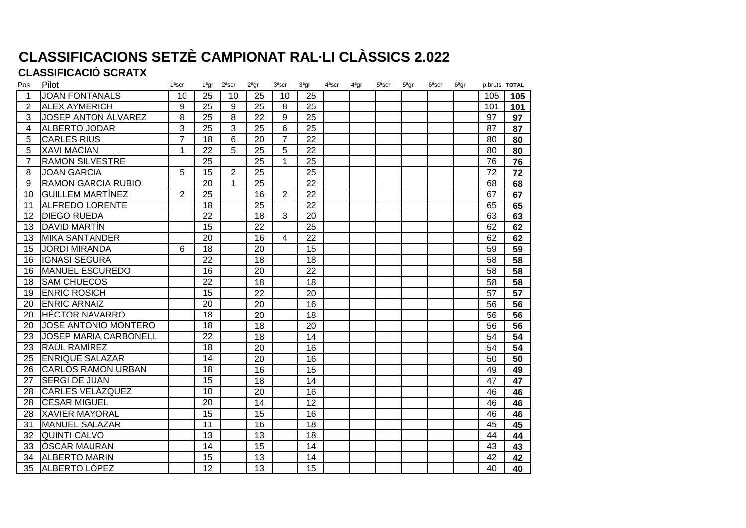# **CLASSIFICACIONS SETZÈ CAMPIONAT RAL·LI CLÀSSICS 2.022**

### **CLASSIFICACIÓ SCRATX**

| Pos             | Pilot                        | $1a$ scr       | $1a$ gr         | $2a$ scr       | $2a$ gr | $3a$ scr       | $3a$ gr         | $4a$ scr | $4a$ gr | $5a$ scr | $5a$ gr | $6a$ scr | $6a$ gr | p.bruts TOTAL |     |
|-----------------|------------------------------|----------------|-----------------|----------------|---------|----------------|-----------------|----------|---------|----------|---------|----------|---------|---------------|-----|
|                 | <b>JOAN FONTANALS</b>        | 10             | 25              | 10             | 25      | 10             | 25              |          |         |          |         |          |         | 105           | 105 |
| 2               | <b>ALEX AYMERICH</b>         | 9              | $\overline{25}$ | 9              | 25      | 8              | 25              |          |         |          |         |          |         | 101           | 101 |
| 3               | <b>JOSEP ANTON ÁLVAREZ</b>   | 8              | $\overline{25}$ | 8              | 22      | 9              | $\overline{25}$ |          |         |          |         |          |         | 97            | 97  |
| 4               | <b>ALBERTO JODAR</b>         | 3              | $\overline{25}$ | $\overline{3}$ | 25      | 6              | 25              |          |         |          |         |          |         | 87            | 87  |
| 5               | <b>CARLES RIUS</b>           | $\overline{7}$ | $\overline{18}$ | 6              | 20      | $\overline{7}$ | 22              |          |         |          |         |          |         | 80            | 80  |
| 5               | <b>XAVI MACIAN</b>           | 1              | 22              | 5              | 25      | 5              | 22              |          |         |          |         |          |         | 80            | 80  |
|                 | <b>RAMON SILVESTRE</b>       |                | $\overline{25}$ |                | 25      | $\mathbf{1}$   | 25              |          |         |          |         |          |         | 76            | 76  |
| 8               | <b>JOAN GARCIA</b>           | $\overline{5}$ | $\overline{15}$ | $\overline{2}$ | 25      |                | 25              |          |         |          |         |          |         | 72            | 72  |
| 9               | <b>RAMON GARCIA RUBIO</b>    |                | 20              | $\mathbf 1$    | 25      |                | 22              |          |         |          |         |          |         | 68            | 68  |
| 10 <sup>1</sup> | <b>GUILLEM MARTÍNEZ</b>      | $\overline{2}$ | $\overline{25}$ |                | 16      | $\overline{2}$ | 22              |          |         |          |         |          |         | 67            | 67  |
| 11              | <b>ALFREDO LORENTE</b>       |                | $\overline{18}$ |                | 25      |                | 22              |          |         |          |         |          |         | 65            | 65  |
| 12              | <b>DIEGO RUEDA</b>           |                | $\overline{22}$ |                | 18      | $\overline{3}$ | $\overline{20}$ |          |         |          |         |          |         | 63            | 63  |
| 13              | <b>DAVID MARTIN</b>          |                | 15              |                | 22      |                | 25              |          |         |          |         |          |         | 62            | 62  |
| 13              | <b>MIKA SANTANDER</b>        |                | 20              |                | 16      | $\overline{4}$ | 22              |          |         |          |         |          |         | 62            | 62  |
| 15              | <b>JORDI MIRANDA</b>         | 6              | 18              |                | 20      |                | 15              |          |         |          |         |          |         | 59            | 59  |
| 16              | <b>IGNASI SEGURA</b>         |                | 22              |                | 18      |                | 18              |          |         |          |         |          |         | 58            | 58  |
| 16              | <b>MANUEL ESCUREDO</b>       |                | 16              |                | 20      |                | 22              |          |         |          |         |          |         | 58            | 58  |
| 18              | <b>SAM CHUECOS</b>           |                | $\overline{22}$ |                | 18      |                | 18              |          |         |          |         |          |         | 58            | 58  |
| 19              | <b>ENRIC ROSICH</b>          |                | 15              |                | 22      |                | 20              |          |         |          |         |          |         | 57            | 57  |
| 20              | <b>ENRIC ARNAIZ</b>          |                | 20              |                | 20      |                | 16              |          |         |          |         |          |         | 56            | 56  |
| 20              | <b>IHÉCTOR NAVARRO</b>       |                | 18              |                | 20      |                | 18              |          |         |          |         |          |         | 56            | 56  |
| 20              | JOSE ANTONIO MONTERO         |                | 18              |                | 18      |                | 20              |          |         |          |         |          |         | 56            | 56  |
| 23              | <b>JOSEP MARIA CARBONELL</b> |                | 22              |                | 18      |                | 14              |          |         |          |         |          |         | 54            | 54  |
| 23              | RAÚL RAMÍREZ                 |                | $\overline{18}$ |                | 20      |                | 16              |          |         |          |         |          |         | 54            | 54  |
| 25              | <b>ENRIQUE SALAZAR</b>       |                | 14              |                | 20      |                | 16              |          |         |          |         |          |         | 50            | 50  |
| 26              | <b>CARLOS RAMON URBAN</b>    |                | 18              |                | 16      |                | 15              |          |         |          |         |          |         | 49            | 49  |
| 27              | <b>SERGI DE JUAN</b>         |                | $\overline{15}$ |                | 18      |                | 14              |          |         |          |         |          |         | 47            | 47  |
| 28              | <b>CARLES VELÁZQUEZ</b>      |                | 10              |                | 20      |                | 16              |          |         |          |         |          |         | 46            | 46  |
| 28              | <b>CÉSAR MIGUEL</b>          |                | 20              |                | 14      |                | 12              |          |         |          |         |          |         | 46            | 46  |
| 28              | <b>XAVIER MAYORAL</b>        |                | 15              |                | 15      |                | 16              |          |         |          |         |          |         | 46            | 46  |
| 31              | <b>MANUEL SALAZAR</b>        |                | 11              |                | 16      |                | 18              |          |         |          |         |          |         | 45            | 45  |
| 32              | <b>QUINTI CALVO</b>          |                | 13              |                | 13      |                | 18              |          |         |          |         |          |         | 44            | 44  |
| 33              | <b>OSCAR MAURAN</b>          |                | 14              |                | 15      |                | 14              |          |         |          |         |          |         | 43            | 43  |
| 34              | <b>ALBERTO MARIN</b>         |                | 15              |                | 13      |                | 14              |          |         |          |         |          |         | 42            | 42  |
| 35              | ALBERTO LÓPEZ                |                | 12              |                | 13      |                | 15              |          |         |          |         |          |         | 40            | 40  |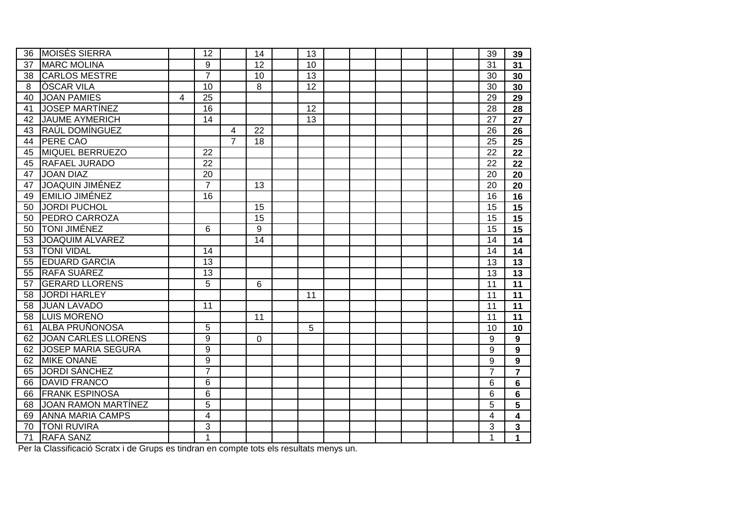| 36 | <b>MOISÉS SIERRA</b>       |   | 12                      |                | 14 | 13              |  |  |  | 39 | 39               |
|----|----------------------------|---|-------------------------|----------------|----|-----------------|--|--|--|----|------------------|
| 37 | <b>MARC MOLINA</b>         |   | 9                       |                | 12 | 10              |  |  |  | 31 | 31               |
| 38 | <b>CARLOS MESTRE</b>       |   | $\overline{7}$          |                | 10 | $\overline{13}$ |  |  |  | 30 | 30               |
| 8  | <b>OSCAR VILA</b>          |   | 10                      |                | 8  | $\overline{12}$ |  |  |  | 30 | 30               |
| 40 | <b>JOAN PAMIES</b>         | 4 | 25                      |                |    |                 |  |  |  | 29 | 29               |
| 41 | <b>JOSEP MARTÍNEZ</b>      |   | 16                      |                |    | 12              |  |  |  | 28 | 28               |
| 42 | <b>JAUME AYMERICH</b>      |   | $\overline{14}$         |                |    | 13              |  |  |  | 27 | 27               |
| 43 | RAÚL DOMÍNGUEZ             |   |                         | 4              | 22 |                 |  |  |  | 26 | 26               |
| 44 | <b>PERE CAO</b>            |   |                         | $\overline{7}$ | 18 |                 |  |  |  | 25 | 25               |
| 45 | <b>MIQUEL BERRUEZO</b>     |   | $\overline{22}$         |                |    |                 |  |  |  | 22 | 22               |
| 45 | <b>RAFAEL JURADO</b>       |   | $\overline{22}$         |                |    |                 |  |  |  | 22 | 22               |
| 47 | <b>JOAN DIAZ</b>           |   | 20                      |                |    |                 |  |  |  | 20 | 20               |
| 47 | <b>JOAQUIN JIMÉNEZ</b>     |   | $\overline{7}$          |                | 13 |                 |  |  |  | 20 | $\overline{20}$  |
| 49 | <b>EMILIO JIMÉNEZ</b>      |   | $\overline{16}$         |                |    |                 |  |  |  | 16 | 16               |
| 50 | <b>JORDI PUCHOL</b>        |   |                         |                | 15 |                 |  |  |  | 15 | $\overline{15}$  |
| 50 | <b>PEDRO CARROZA</b>       |   |                         |                | 15 |                 |  |  |  | 15 | 15               |
| 50 | <b>TONI JIMÉNEZ</b>        |   | 6                       |                | 9  |                 |  |  |  | 15 | 15               |
| 53 | <b>JOAQUIM ALVAREZ</b>     |   |                         |                | 14 |                 |  |  |  | 14 | 14               |
| 53 | <b>TONI VIDAL</b>          |   | 14                      |                |    |                 |  |  |  | 14 | 14               |
| 55 | <b>EDUARD GARCIA</b>       |   | $\overline{13}$         |                |    |                 |  |  |  | 13 | $\overline{13}$  |
| 55 | <b>RAFA SUÁREZ</b>         |   | $\overline{13}$         |                |    |                 |  |  |  | 13 | 13               |
| 57 | <b>GERARD LLORENS</b>      |   | 5                       |                | 6  |                 |  |  |  | 11 | 11               |
| 58 | <b>JORDI HARLEY</b>        |   |                         |                |    | 11              |  |  |  | 11 | 11               |
| 58 | <b>JUAN LAVADO</b>         |   | 11                      |                |    |                 |  |  |  | 11 | 11               |
| 58 | <b>LUIS MORENO</b>         |   |                         |                | 11 |                 |  |  |  | 11 | 11               |
| 61 | <b>ALBA PRUÑONOSA</b>      |   | 5                       |                |    | 5               |  |  |  | 10 | 10               |
|    | 62 JOAN CARLES LLORENS     |   | 9                       |                | 0  |                 |  |  |  | 9  | $\mathbf{9}$     |
|    | 62 JOSEP MARIA SEGURA      |   | 9                       |                |    |                 |  |  |  | 9  | 9                |
| 62 | <b>MIKE ONANE</b>          |   | 9                       |                |    |                 |  |  |  | 9  | $\boldsymbol{9}$ |
| 65 | <b>JORDI SÁNCHEZ</b>       |   | $\overline{7}$          |                |    |                 |  |  |  | 7  | $\overline{7}$   |
| 66 | <b>DAVID FRANCO</b>        |   | 6                       |                |    |                 |  |  |  | 6  | 6                |
| 66 | <b>FRANK ESPINOSA</b>      |   | 6                       |                |    |                 |  |  |  | 6  | 6                |
| 68 | <b>JOAN RAMON MARTÍNEZ</b> |   | 5                       |                |    |                 |  |  |  | 5  | 5                |
| 69 | <b>ANNA MARIA CAMPS</b>    |   | $\overline{\mathbf{4}}$ |                |    |                 |  |  |  | 4  | 4                |
| 70 | <b>TONI RUVIRA</b>         |   | 3                       |                |    |                 |  |  |  | 3  | 3                |
| 71 | <b>RAFA SANZ</b>           |   | 1                       |                |    |                 |  |  |  | 1  | 1                |

Per la Classificació Scratx i de Grups es tindran en compte tots els resultats menys un.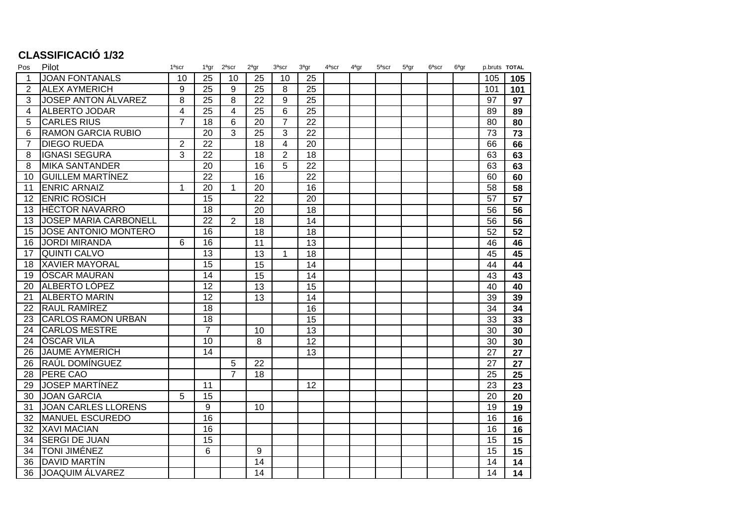## **CLASSIFICACIÓ 1/32**

| Pos             | Pilot                        | 1ªscr          | 1ªgr            | $2a$ scr       | 2ªgr | $3a$ scr       | $3a$ gr | $4a$ scr | 4 <sup>a</sup> gr | $5a$ scr | 5ªgr | $6a$ scr | 6ªgr | p.bruts TOTAL |     |
|-----------------|------------------------------|----------------|-----------------|----------------|------|----------------|---------|----------|-------------------|----------|------|----------|------|---------------|-----|
| $\mathbf{1}$    | <b>JOAN FONTANALS</b>        | 10             | 25              | 10             | 25   | 10             | 25      |          |                   |          |      |          |      | 105           | 105 |
| 2               | <b>ALEX AYMERICH</b>         | 9              | $\overline{25}$ | 9              | 25   | 8              | 25      |          |                   |          |      |          |      | 101           | 101 |
| 3               | <b>JOSEP ANTON ÁLVAREZ</b>   | 8              | 25              | 8              | 22   | 9              | 25      |          |                   |          |      |          |      | 97            | 97  |
| 4               | <b>ALBERTO JODAR</b>         | $\overline{4}$ | 25              | 4              | 25   | 6              | 25      |          |                   |          |      |          |      | 89            | 89  |
| 5               | <b>CARLES RIUS</b>           | $\overline{7}$ | 18              | 6              | 20   | $\overline{7}$ | 22      |          |                   |          |      |          |      | 80            | 80  |
| 6               | <b>RAMON GARCIA RUBIO</b>    |                | 20              | 3              | 25   | 3              | 22      |          |                   |          |      |          |      | 73            | 73  |
| $\overline{7}$  | <b>DIEGO RUEDA</b>           | $\overline{2}$ | 22              |                | 18   | 4              | 20      |          |                   |          |      |          |      | 66            | 66  |
| 8               | <b>IGNASI SEGURA</b>         | 3              | 22              |                | 18   | $\overline{2}$ | 18      |          |                   |          |      |          |      | 63            | 63  |
| 8               | <b>MIKA SANTANDER</b>        |                | 20              |                | 16   | 5              | 22      |          |                   |          |      |          |      | 63            | 63  |
| 10 <sup>°</sup> | <b>GUILLEM MARTÍNEZ</b>      |                | 22              |                | 16   |                | 22      |          |                   |          |      |          |      | 60            | 60  |
| 11              | <b>ENRIC ARNAIZ</b>          | 1              | 20              | 1              | 20   |                | 16      |          |                   |          |      |          |      | 58            | 58  |
| 12              | <b>ENRIC ROSICH</b>          |                | 15              |                | 22   |                | 20      |          |                   |          |      |          |      | 57            | 57  |
| 13              | <b>HÉCTOR NAVARRO</b>        |                | 18              |                | 20   |                | 18      |          |                   |          |      |          |      | 56            | 56  |
| 13              | <b>JOSEP MARIA CARBONELL</b> |                | $\overline{22}$ | $\overline{2}$ | 18   |                | 14      |          |                   |          |      |          |      | 56            | 56  |
| 15              | JOSE ANTONIO MONTERO         |                | 16              |                | 18   |                | 18      |          |                   |          |      |          |      | 52            | 52  |
| 16              | <b>JORDI MIRANDA</b>         | 6              | 16              |                | 11   |                | 13      |          |                   |          |      |          |      | 46            | 46  |
| 17              | <b>QUINTI CALVO</b>          |                | $\overline{13}$ |                | 13   | 1              | 18      |          |                   |          |      |          |      | 45            | 45  |
| 18              | <b>XAVIER MAYORAL</b>        |                | 15              |                | 15   |                | 14      |          |                   |          |      |          |      | 44            | 44  |
| 19              | <b>OSCAR MAURAN</b>          |                | 14              |                | 15   |                | 14      |          |                   |          |      |          |      | 43            | 43  |
| 20              | ALBERTO LÓPEZ                |                | 12              |                | 13   |                | 15      |          |                   |          |      |          |      | 40            | 40  |
| 21              | <b>ALBERTO MARIN</b>         |                | $\overline{12}$ |                | 13   |                | 14      |          |                   |          |      |          |      | 39            | 39  |
| 22              | <b>RAUL RAMÍREZ</b>          |                | 18              |                |      |                | 16      |          |                   |          |      |          |      | 34            | 34  |
| 23              | <b>CARLOS RAMON URBAN</b>    |                | 18              |                |      |                | 15      |          |                   |          |      |          |      | 33            | 33  |
| 24              | <b>CARLOS MESTRE</b>         |                | $\overline{7}$  |                | 10   |                | 13      |          |                   |          |      |          |      | 30            | 30  |
| 24              | <b>OSCAR VILA</b>            |                | 10              |                | 8    |                | 12      |          |                   |          |      |          |      | 30            | 30  |
| 26              | <b>JAUME AYMERICH</b>        |                | 14              |                |      |                | 13      |          |                   |          |      |          |      | 27            | 27  |
| 26              | RAÚL DOMÍNGUEZ               |                |                 | 5              | 22   |                |         |          |                   |          |      |          |      | 27            | 27  |
| 28              | <b>PERE CAO</b>              |                |                 | $\overline{7}$ | 18   |                |         |          |                   |          |      |          |      | 25            | 25  |
| 29              | <b>JOSEP MARTINEZ</b>        |                | 11              |                |      |                | 12      |          |                   |          |      |          |      | 23            | 23  |
| 30              | <b>JOAN GARCIA</b>           | 5              | 15              |                |      |                |         |          |                   |          |      |          |      | 20            | 20  |
| 31              | <b>JOAN CARLES LLORENS</b>   |                | 9               |                | 10   |                |         |          |                   |          |      |          |      | 19            | 19  |
| 32              | MANUEL ESCUREDO              |                | $\overline{16}$ |                |      |                |         |          |                   |          |      |          |      | 16            | 16  |
| 32              | <b>XAVI MACIAN</b>           |                | 16              |                |      |                |         |          |                   |          |      |          |      | 16            | 16  |
| 34              | <b>SERGI DE JUAN</b>         |                | $\overline{15}$ |                |      |                |         |          |                   |          |      |          |      | 15            | 15  |
| 34              | <b>TONI JIMÉNEZ</b>          |                | 6               |                | 9    |                |         |          |                   |          |      |          |      | 15            | 15  |
| 36              | DAVID MARTÍN                 |                |                 |                | 14   |                |         |          |                   |          |      |          |      | 14            | 14  |
| 36              | <b>JOAQUIM ÁLVAREZ</b>       |                |                 |                | 14   |                |         |          |                   |          |      |          |      | 14            | 14  |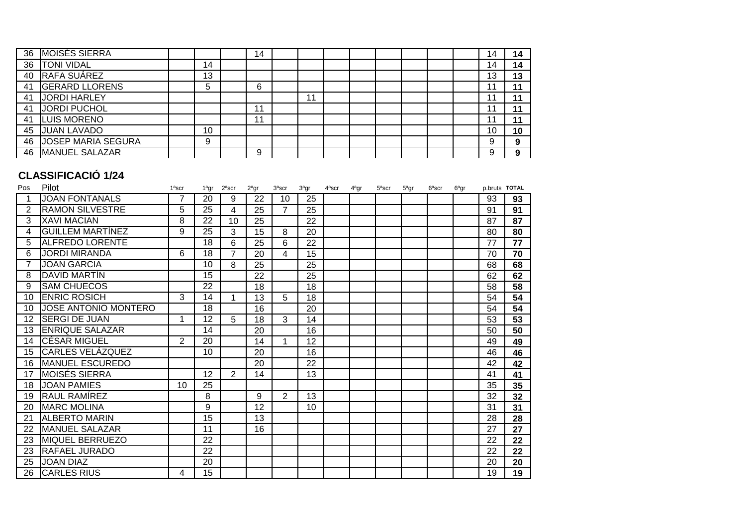|    | 36 MOISÉS SIERRA          |    | 14 |    |  |  |  | , 4 | 14 |
|----|---------------------------|----|----|----|--|--|--|-----|----|
| 36 | <b>TONI VIDAL</b>         | 14 |    |    |  |  |  | 14  | 14 |
| 40 | RAFA SUÁREZ               | 13 |    |    |  |  |  | 13  | 13 |
| 41 | <b>GERARD LLORENS</b>     | 5  | 6  |    |  |  |  |     |    |
| 41 | JORDI HARLEY              |    |    | 11 |  |  |  |     |    |
| 41 | JORDI PUCHOL              |    | 11 |    |  |  |  |     |    |
| 41 | <b>LUIS MORENO</b>        |    | 11 |    |  |  |  |     |    |
| 45 | <b>JUAN LAVADO</b>        | 10 |    |    |  |  |  | 10  | 10 |
| 46 | <b>JOSEP MARIA SEGURA</b> | 9  |    |    |  |  |  |     |    |
| 46 | MANUEL SALAZAR            |    | 9  |    |  |  |  | a   |    |

### **CLASSIFICACIÓ 1/24**

| Pos            | Pilot                   | 1ªscr          | 1ªgr | $2a$ scr | $2a$ gr | $3a$ scr       | $3a$ gr | $4a$ scr | $4a$ gr | $5a$ scr | $5a$ gr | $6a$ scr | $6a$ gr | p.bruts TOTAL |    |
|----------------|-------------------------|----------------|------|----------|---------|----------------|---------|----------|---------|----------|---------|----------|---------|---------------|----|
|                | <b>JOAN FONTANALS</b>   |                | 20   | 9        | 22      | 10             | 25      |          |         |          |         |          |         | 93            | 93 |
| $\overline{2}$ | <b>RAMON SILVESTRE</b>  | 5              | 25   | 4        | 25      | $\overline{7}$ | 25      |          |         |          |         |          |         | 91            | 91 |
| 3              | <b>XAVI MACIAN</b>      | 8              | 22   | 10       | 25      |                | 22      |          |         |          |         |          |         | 87            | 87 |
| 4              | <b>GUILLEM MARTÍNEZ</b> | 9              | 25   | 3        | 15      | 8              | 20      |          |         |          |         |          |         | 80            | 80 |
| 5              | <b>ALFREDO LORENTE</b>  |                | 18   | 6        | 25      | 6              | 22      |          |         |          |         |          |         | 77            | 77 |
| 6              | <b>JORDI MIRANDA</b>    | 6              | 18   | 7        | 20      | 4              | 15      |          |         |          |         |          |         | 70            | 70 |
| $\overline{7}$ | <b>JOAN GARCIA</b>      |                | 10   | 8        | 25      |                | 25      |          |         |          |         |          |         | 68            | 68 |
| 8              | DAVID MARTIN            |                | 15   |          | 22      |                | 25      |          |         |          |         |          |         | 62            | 62 |
| 9              | <b>SAM CHUECOS</b>      |                | 22   |          | 18      |                | 18      |          |         |          |         |          |         | 58            | 58 |
| 10             | <b>ENRIC ROSICH</b>     | 3              | 14   | 1        | 13      | 5              | 18      |          |         |          |         |          |         | 54            | 54 |
| 10             | JOSE ANTONIO MONTERO    |                | 18   |          | 16      |                | 20      |          |         |          |         |          |         | 54            | 54 |
| 12             | <b>SERGI DE JUAN</b>    | 1              | 12   | 5        | 18      | 3              | 14      |          |         |          |         |          |         | 53            | 53 |
| 13             | <b>ENRIQUE SALAZAR</b>  |                | 14   |          | 20      |                | 16      |          |         |          |         |          |         | 50            | 50 |
| 14             | <b>CÉSAR MIGUEL</b>     | $\overline{2}$ | 20   |          | 14      |                | 12      |          |         |          |         |          |         | 49            | 49 |
| 15             | CARLES VELÁZQUEZ        |                | 10   |          | 20      |                | 16      |          |         |          |         |          |         | 46            | 46 |
| 16             | MANUEL ESCUREDO         |                |      |          | 20      |                | 22      |          |         |          |         |          |         | 42            | 42 |
| 17             | <b>MOISÉS SIERRA</b>    |                | 12   | 2        | 14      |                | 13      |          |         |          |         |          |         | 41            | 41 |
| 18             | <b>JOAN PAMIES</b>      | 10             | 25   |          |         |                |         |          |         |          |         |          |         | 35            | 35 |
| 19             | RAUL RAMÍREZ            |                | 8    |          | 9       | 2              | 13      |          |         |          |         |          |         | 32            | 32 |
| 20             | <b>MARC MOLINA</b>      |                | 9    |          | 12      |                | 10      |          |         |          |         |          |         | 31            | 31 |
| 21             | <b>ALBERTO MARIN</b>    |                | 15   |          | 13      |                |         |          |         |          |         |          |         | 28            | 28 |
| 22             | <b>MANUEL SALAZAR</b>   |                | 11   |          | 16      |                |         |          |         |          |         |          |         | 27            | 27 |
| 23             | <b>MIQUEL BERRUEZO</b>  |                | 22   |          |         |                |         |          |         |          |         |          |         | 22            | 22 |
| 23             | RAFAEL JURADO           |                | 22   |          |         |                |         |          |         |          |         |          |         | 22            | 22 |
| 25             | <b>JOAN DIAZ</b>        |                | 20   |          |         |                |         |          |         |          |         |          |         | 20            | 20 |
| 26             | <b>CARLES RIUS</b>      | 4              | 15   |          |         |                |         |          |         |          |         |          |         | 19            | 19 |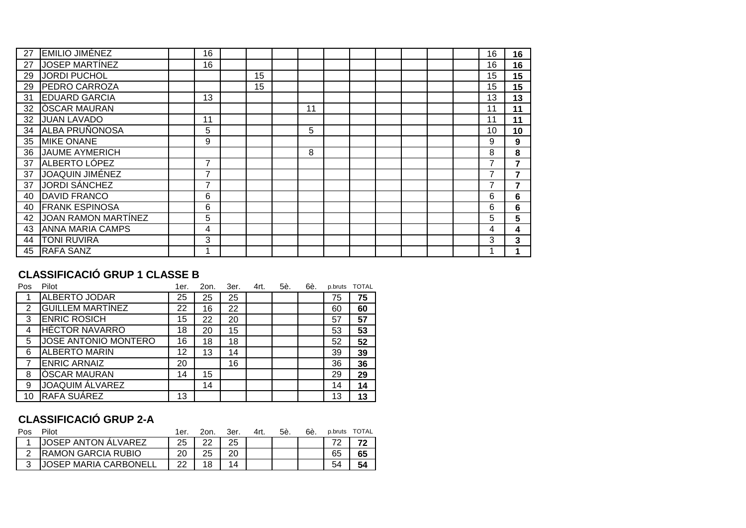| <b>EMILIO JIMÉNEZ</b>   |                                                                                                                                                     | 16 |    |    |  |  |  | 16 | 16 |
|-------------------------|-----------------------------------------------------------------------------------------------------------------------------------------------------|----|----|----|--|--|--|----|----|
| <b>JOSEP MARTINEZ</b>   |                                                                                                                                                     | 16 |    |    |  |  |  | 16 | 16 |
| <b>JORDI PUCHOL</b>     |                                                                                                                                                     |    | 15 |    |  |  |  | 15 | 15 |
| <b>PEDRO CARROZA</b>    |                                                                                                                                                     |    | 15 |    |  |  |  | 15 | 15 |
| <b>EDUARD GARCIA</b>    |                                                                                                                                                     | 13 |    |    |  |  |  | 13 | 13 |
| <b>OSCAR MAURAN</b>     |                                                                                                                                                     |    |    | 11 |  |  |  | 11 | 11 |
| <b>JUAN LAVADO</b>      |                                                                                                                                                     | 11 |    |    |  |  |  | 11 | 11 |
| <b>ALBA PRUÑONOSA</b>   |                                                                                                                                                     | 5  |    | 5  |  |  |  | 10 | 10 |
| <b>MIKE ONANE</b>       |                                                                                                                                                     | 9  |    |    |  |  |  | 9  | 9  |
|                         |                                                                                                                                                     |    |    | 8  |  |  |  | 8  | 8  |
|                         |                                                                                                                                                     | 7  |    |    |  |  |  |    | 7  |
| JOAQUIN JIMÉNEZ         |                                                                                                                                                     | 7  |    |    |  |  |  |    | 7  |
|                         |                                                                                                                                                     | 7  |    |    |  |  |  |    |    |
|                         |                                                                                                                                                     | 6  |    |    |  |  |  | 6  | 6  |
|                         |                                                                                                                                                     | 6  |    |    |  |  |  | 6  | 6  |
|                         |                                                                                                                                                     | 5  |    |    |  |  |  | 5  | 5  |
| <b>ANNA MARIA CAMPS</b> |                                                                                                                                                     | 4  |    |    |  |  |  | 4  | 4  |
| <b>TONI RUVIRA</b>      |                                                                                                                                                     | 3  |    |    |  |  |  | 3  | 3  |
| <b>RAFA SANZ</b>        |                                                                                                                                                     |    |    |    |  |  |  |    |    |
|                         | <b>JAUME AYMERICH</b><br><b>ALBERTO LÓPEZ</b><br><b>JORDI SÁNCHEZ</b><br><b>DAVID FRANCO</b><br><b>FRANK ESPINOSA</b><br><b>JOAN RAMON MARTINEZ</b> |    |    |    |  |  |  |    |    |

### **CLASSIFICACIÓ GRUP 1 CLASSE B**

| Pos            | Pilot                   | 1er. | 2on. | 3er. | 4rt. | 5è. | 6è. | p.bruts | <b>TOTAL</b> |
|----------------|-------------------------|------|------|------|------|-----|-----|---------|--------------|
|                | ALBERTO JODAR           | 25   | 25   | 25   |      |     |     | 75      | 75           |
| 2              | <b>GUILLEM MARTÍNEZ</b> | 22   | 16   | 22   |      |     |     | 60      | 60           |
| 3              | <b>ENRIC ROSICH</b>     | 15   | 22   | 20   |      |     |     | 57      | 57           |
| 4              | <b>HÉCTOR NAVARRO</b>   | 18   | 20   | 15   |      |     |     | 53      | 53           |
| 5              | JOSE ANTONIO MONTERO    | 16   | 18   | 18   |      |     |     | 52      | 52           |
| 6              | <b>ALBERTO MARIN</b>    | 12   | 13   | 14   |      |     |     | 39      | 39           |
| $\overline{7}$ | <b>ENRIC ARNAIZ</b>     | 20   |      | 16   |      |     |     | 36      | 36           |
| 8              | <b>OSCAR MAURAN</b>     | 14   | 15   |      |      |     |     | 29      | 29           |
| 9              | <b>JOAQUIM ÁLVAREZ</b>  |      | 14   |      |      |     |     | 14      | 14           |
| 10             | RAFA SUÁREZ             | 13   |      |      |      |     |     | 13      | 13           |

## **CLASSIFICACIÓ GRUP 2-A**

| Pos | Pilot                        | 1er. | 2on. | 3er. | 4rt. | 5è. | 6è. |    | p.bruts TOTAL |
|-----|------------------------------|------|------|------|------|-----|-----|----|---------------|
|     | <b>JOSEP ANTON ALVAREZ</b>   | 25   | ົດ   | 25   |      |     |     |    |               |
|     | <b>RAMON GARCIA RUBIO</b>    |      | 25   |      |      |     |     | 65 | 65            |
|     | <b>JOSEP MARIA CARBONELL</b> | າາ   |      |      |      |     |     | 54 | 54            |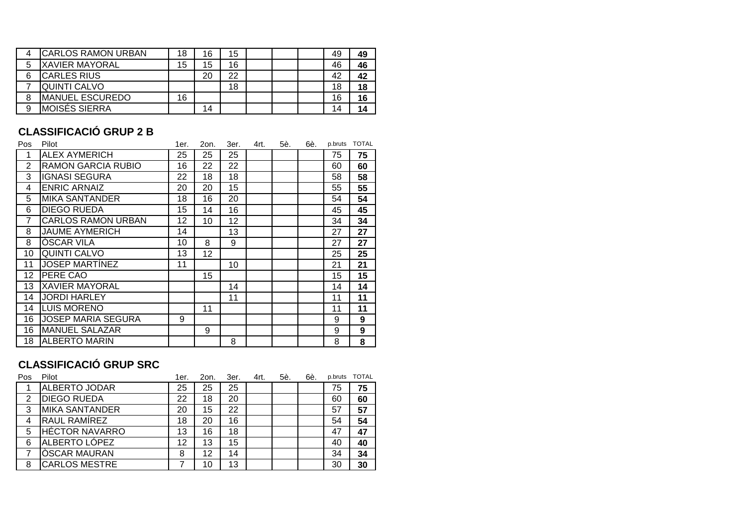| <b>CARLOS RAMON URBAN</b> | 18 | 16 | 15 |  | 49 | 49 |
|---------------------------|----|----|----|--|----|----|
| <b>IXAVIER MAYORAL</b>    | 15 | 15 | 16 |  | 46 | 46 |
| <b>ICARLES RIUS</b>       |    | 20 | 22 |  | 42 | 42 |
| QUINTI CALVO              |    |    | 18 |  | 18 | 18 |
| <b>MANUEL ESCUREDO</b>    | 16 |    |    |  | 16 | 16 |
| <b>MOISÉS SIERRA</b>      |    | 14 |    |  | 14 | 14 |

#### **CLASSIFICACIÓ GRUP 2 B**

| Pos | Pilot                     | 1er. | 2on. | 3er. | 4rt. | 5è. | 6è. | p.bruts | <b>TOTAL</b> |
|-----|---------------------------|------|------|------|------|-----|-----|---------|--------------|
| 1   | <b>ALEX AYMERICH</b>      | 25   | 25   | 25   |      |     |     | 75      | 75           |
| 2   | <b>RAMON GARCIA RUBIO</b> | 16   | 22   | 22   |      |     |     | 60      | 60           |
| 3   | <b>IGNASI SEGURA</b>      | 22   | 18   | 18   |      |     |     | 58      | 58           |
| 4   | <b>ENRIC ARNAIZ</b>       | 20   | 20   | 15   |      |     |     | 55      | 55           |
| 5   | <b>MIKA SANTANDER</b>     | 18   | 16   | 20   |      |     |     | 54      | 54           |
| 6   | <b>DIEGO RUEDA</b>        | 15   | 14   | 16   |      |     |     | 45      | 45           |
| 7   | <b>CARLOS RAMON URBAN</b> | 12   | 10   | 12   |      |     |     | 34      | 34           |
| 8   | <b>JAUME AYMERICH</b>     | 14   |      | 13   |      |     |     | 27      | 27           |
| 8   | <b>OSCAR VILA</b>         | 10   | 8    | 9    |      |     |     | 27      | 27           |
| 10  | <b>QUINTI CALVO</b>       | 13   | 12   |      |      |     |     | 25      | 25           |
| 11  | <b>JOSEP MARTINEZ</b>     | 11   |      | 10   |      |     |     | 21      | 21           |
| 12  | PERE CAO                  |      | 15   |      |      |     |     | 15      | 15           |
| 13  | <b>XAVIER MAYORAL</b>     |      |      | 14   |      |     |     | 14      | 14           |
| 14  | <b>JORDI HARLEY</b>       |      |      | 11   |      |     |     | 11      | 11           |
| 14  | <b>LUIS MORENO</b>        |      | 11   |      |      |     |     | 11      | 11           |
| 16  | <b>JOSEP MARIA SEGURA</b> | 9    |      |      |      |     |     | 9       | 9            |
| 16  | <b>MANUEL SALAZAR</b>     |      | 9    |      |      |     |     | 9       | 9            |
| 18  | <b>ALBERTO MARIN</b>      |      |      | 8    |      |     |     | 8       | 8            |

### **CLASSIFICACIÓ GRUP SRC**

| Pos | Pilot                 | 1er. | 2on. | 3er. | 4rt. | 5è. | 6è. | p.bruts | <b>TOTAL</b> |
|-----|-----------------------|------|------|------|------|-----|-----|---------|--------------|
|     | <b>ALBERTO JODAR</b>  | 25   | 25   | 25   |      |     |     | 75      | 75           |
| 2   | <b>DIEGO RUEDA</b>    | 22   | 18   | 20   |      |     |     | 60      | 60           |
| 3   | <b>MIKA SANTANDER</b> | 20   | 15   | 22   |      |     |     | 57      | 57           |
| 4   | RAUL RAMIREZ          | 18   | 20   | 16   |      |     |     | 54      | 54           |
| 5   | <b>HÉCTOR NAVARRO</b> | 13   | 16   | 18   |      |     |     | 47      | 47           |
| 6   | ALBERTO LÓPEZ         | 12   | 13   | 15   |      |     |     | 40      | 40           |
|     | <b>OSCAR MAURAN</b>   | 8    | 12   | 14   |      |     |     | 34      | 34           |
| 8   | <b>CARLOS MESTRE</b>  |      | 10   | 13   |      |     |     | 30      | 30           |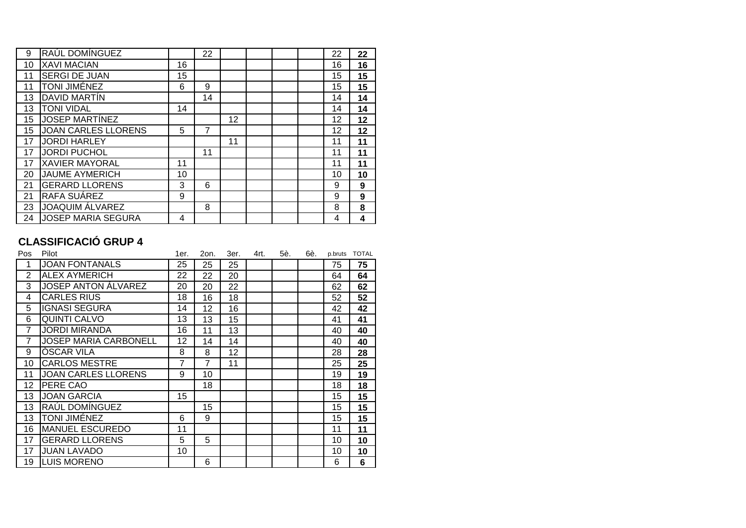| 9  | RAÚL DOMÍNGUEZ             |    | 22 |    |  | 22 | 22 |
|----|----------------------------|----|----|----|--|----|----|
| 10 | <b>XAVI MACIAN</b>         | 16 |    |    |  | 16 | 16 |
| 11 | <b>SERGI DE JUAN</b>       | 15 |    |    |  | 15 | 15 |
| 11 | TONI JIMÉNEZ               | 6  | 9  |    |  | 15 | 15 |
| 13 | DAVID MARTIN               |    | 14 |    |  | 14 | 14 |
| 13 | <b>TONI VIDAL</b>          | 14 |    |    |  | 14 | 14 |
| 15 | <b>JOSEP MARTINEZ</b>      |    |    | 12 |  | 12 | 12 |
| 15 | <b>JOAN CARLES LLORENS</b> | 5  | 7  |    |  | 12 | 12 |
| 17 | <b>JORDI HARLEY</b>        |    |    | 11 |  | 11 | 11 |
| 17 | <b>JORDI PUCHOL</b>        |    | 11 |    |  | 11 | 11 |
| 17 | <b>XAVIER MAYORAL</b>      | 11 |    |    |  | 11 | 11 |
| 20 | <b>JAUME AYMERICH</b>      | 10 |    |    |  | 10 | 10 |
| 21 | <b>GERARD LLORENS</b>      | 3  | 6  |    |  | 9  | 9  |
| 21 | <b>RAFA SUAREZ</b>         | 9  |    |    |  | 9  | 9  |
| 23 | <b>JOAQUIM ÁLVAREZ</b>     |    | 8  |    |  | 8  | 8  |
| 24 | <b>JOSEP MARIA SEGURA</b>  | 4  |    |    |  | 4  | 4  |

## **CLASSIFICACIÓ GRUP 4**

| Pos            | Pilot                        | 1er. | 2on. | 3er. | 4rt. | 5è. | 6è. | p.bruts | <b>TOTAL</b> |
|----------------|------------------------------|------|------|------|------|-----|-----|---------|--------------|
| 1              | <b>JOAN FONTANALS</b>        | 25   | 25   | 25   |      |     |     | 75      | 75           |
| $\overline{2}$ | <b>ALEX AYMERICH</b>         | 22   | 22   | 20   |      |     |     | 64      | 64           |
| 3              | <b>JOSEP ANTON ÁLVAREZ</b>   | 20   | 20   | 22   |      |     |     | 62      | 62           |
| 4              | <b>CARLES RIUS</b>           | 18   | 16   | 18   |      |     |     | 52      | 52           |
| 5              | <b>IGNASI SEGURA</b>         | 14   | 12   | 16   |      |     |     | 42      | 42           |
| 6              | <b>QUINTI CALVO</b>          | 13   | 13   | 15   |      |     |     | 41      | 41           |
| 7              | <b>JORDI MIRANDA</b>         | 16   | 11   | 13   |      |     |     | 40      | 40           |
| 7              | <b>JOSEP MARIA CARBONELL</b> | 12   | 14   | 14   |      |     |     | 40      | 40           |
| 9              | <b>OSCAR VILA</b>            | 8    | 8    | 12   |      |     |     | 28      | 28           |
| 10             | <b>CARLOS MESTRE</b>         | 7    | 7    | 11   |      |     |     | 25      | 25           |
| 11             | <b>JOAN CARLES LLORENS</b>   | 9    | 10   |      |      |     |     | 19      | 19           |
| 12             | PERE CAO                     |      | 18   |      |      |     |     | 18      | 18           |
| 13             | <b>JOAN GARCIA</b>           | 15   |      |      |      |     |     | 15      | 15           |
| 13             | RAÚL DOMÍNGUEZ               |      | 15   |      |      |     |     | 15      | 15           |
| 13             | <b>TONI JIMÉNEZ</b>          | 6    | 9    |      |      |     |     | 15      | 15           |
| 16             | <b>MANUEL ESCUREDO</b>       | 11   |      |      |      |     |     | 11      | 11           |
| 17             | <b>GERARD LLORENS</b>        | 5    | 5    |      |      |     |     | 10      | 10           |
| 17             | <b>JUAN LAVADO</b>           | 10   |      |      |      |     |     | 10      | 10           |
| 19             | <b>LUIS MORENO</b>           |      | 6    |      |      |     |     | 6       | 6            |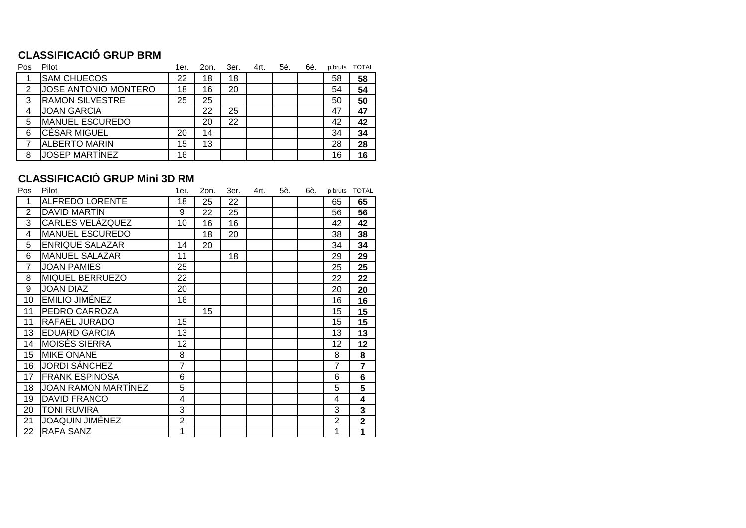## **CLASSIFICACIÓ GRUP BRM**

| 58 |
|----|
|    |
| 54 |
| 50 |
| 47 |
| 42 |
| 34 |
| 28 |
| 16 |
|    |

## **CLASSIFICACIÓ GRUP Mini 3D RM**

| Pos             | Pilot                      | 1er.           | 2on. | 3er. | 4rt. | 5è. | 6è. | p.bruts        | <b>TOTAL</b>            |
|-----------------|----------------------------|----------------|------|------|------|-----|-----|----------------|-------------------------|
| 1               | <b>ALFREDO LORENTE</b>     | 18             | 25   | 22   |      |     |     | 65             | 65                      |
| $\overline{2}$  | DAVID MARTIN               | 9              | 22   | 25   |      |     |     | 56             | 56                      |
| 3               | CARLES VELÁZQUEZ           | 10             | 16   | 16   |      |     |     | 42             | 42                      |
| 4               | <b>MANUEL ESCUREDO</b>     |                | 18   | 20   |      |     |     | 38             | 38                      |
| 5               | <b>ENRIQUE SALAZAR</b>     | 14             | 20   |      |      |     |     | 34             | 34                      |
| 6               | <b>MANUEL SALAZAR</b>      | 11             |      | 18   |      |     |     | 29             | 29                      |
| $\overline{7}$  | <b>JOAN PAMIES</b>         | 25             |      |      |      |     |     | 25             | 25                      |
| 8               | MIQUEL BERRUEZO            | 22             |      |      |      |     |     | 22             | 22                      |
| 9               | <b>JOAN DIAZ</b>           | 20             |      |      |      |     |     | 20             | 20                      |
| 10              | EMILIO JIMÉNEZ             | 16             |      |      |      |     |     | 16             | 16                      |
| 11              | PEDRO CARROZA              |                | 15   |      |      |     |     | 15             | 15                      |
| 11              | RAFAEL JURADO              | 15             |      |      |      |     |     | 15             | 15                      |
| 13              | <b>EDUARD GARCIA</b>       | 13             |      |      |      |     |     | 13             | 13                      |
| 14              | <b>MOISÉS SIERRA</b>       | 12             |      |      |      |     |     | 12             | 12                      |
| 15 <sub>2</sub> | <b>MIKE ONANE</b>          | 8              |      |      |      |     |     | 8              | 8                       |
| 16              | <b>JORDI SÁNCHEZ</b>       | 7              |      |      |      |     |     | $\overline{7}$ | $\overline{7}$          |
| 17              | <b>FRANK ESPINOSA</b>      | 6              |      |      |      |     |     | 6              | 6                       |
| 18              | <b>JOAN RAMON MARTÍNEZ</b> | 5              |      |      |      |     |     | 5              | 5                       |
| 19              | <b>DAVID FRANCO</b>        | 4              |      |      |      |     |     | 4              | 4                       |
| 20              | TONI RUVIRA                | 3              |      |      |      |     |     | 3              | 3                       |
| 21              | <b>JOAQUIN JIMÉNEZ</b>     | $\overline{2}$ |      |      |      |     |     | $\overline{2}$ | $\overline{\mathbf{2}}$ |
| 22              | <b>RAFA SANZ</b>           | 1              |      |      |      |     |     | 1              | 1                       |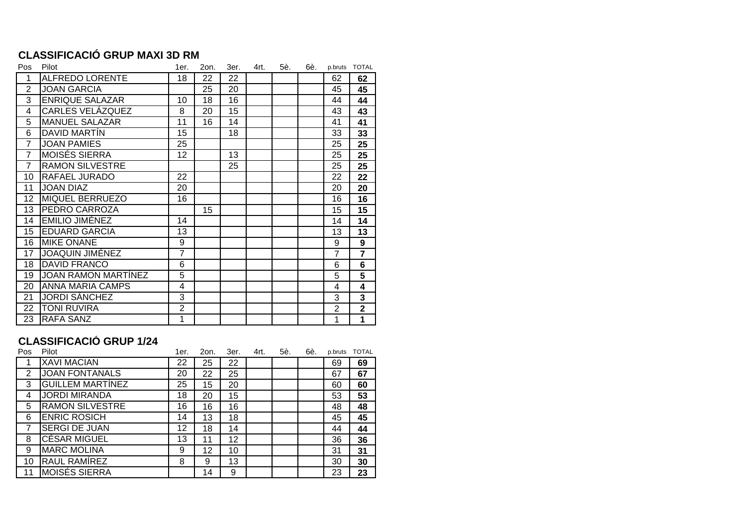#### **CLASSIFICACIÓ GRUP MAXI 3D RM**

| Pos            | Pilot                      | 1er.           | 2on. | 3er. | 4rt. | 5è. | 6è. |                | p.bruts TOTAL  |
|----------------|----------------------------|----------------|------|------|------|-----|-----|----------------|----------------|
| 1              | <b>ALFREDO LORENTE</b>     | 18             | 22   | 22   |      |     |     | 62             | 62             |
| $\overline{2}$ | <b>JOAN GARCIA</b>         |                | 25   | 20   |      |     |     | 45             | 45             |
| 3              | <b>ENRIQUE SALAZAR</b>     | 10             | 18   | 16   |      |     |     | 44             | 44             |
| 4              | <b>CARLES VELÁZQUEZ</b>    | 8              | 20   | 15   |      |     |     | 43             | 43             |
| 5              | <b>MANUEL SALAZAR</b>      | 11             | 16   | 14   |      |     |     | 41             | 41             |
| 6              | DAVID MARTÍN               | 15             |      | 18   |      |     |     | 33             | 33             |
| $\overline{7}$ | <b>JOAN PAMIES</b>         | 25             |      |      |      |     |     | 25             | 25             |
| $\overline{7}$ | <b>MOISÉS SIERRA</b>       | 12             |      | 13   |      |     |     | 25             | 25             |
| $\overline{7}$ | <b>RAMON SILVESTRE</b>     |                |      | 25   |      |     |     | 25             | 25             |
| 10             | RAFAEL JURADO              | 22             |      |      |      |     |     | 22             | 22             |
| 11             | <b>JOAN DIAZ</b>           | 20             |      |      |      |     |     | 20             | 20             |
| 12             | MIQUEL BERRUEZO            | 16             |      |      |      |     |     | 16             | 16             |
| 13             | PEDRO CARROZA              |                | 15   |      |      |     |     | 15             | 15             |
| 14             | <b>EMILIO JIMÉNEZ</b>      | 14             |      |      |      |     |     | 14             | 14             |
| 15             | <b>EDUARD GARCIA</b>       | 13             |      |      |      |     |     | 13             | 13             |
| 16             | <b>MIKE ONANE</b>          | 9              |      |      |      |     |     | 9              | 9              |
| 17             | <b>JOAQUIN JIMÉNEZ</b>     | $\overline{7}$ |      |      |      |     |     | 7              | $\overline{7}$ |
| 18             | <b>DAVID FRANCO</b>        | 6              |      |      |      |     |     | 6              | 6              |
| 19             | <b>JOAN RAMON MARTINEZ</b> | 5              |      |      |      |     |     | 5              | 5              |
| 20             | <b>ANNA MARIA CAMPS</b>    | $\overline{4}$ |      |      |      |     |     | 4              | 4              |
| 21             | <b>JORDI SÁNCHEZ</b>       | 3              |      |      |      |     |     | 3              | 3              |
| 22             | TONI RUVIRA                | $\overline{2}$ |      |      |      |     |     | $\overline{2}$ | $\overline{2}$ |
| 23             | <b>RAFA SANZ</b>           | 1              |      |      |      |     |     | 1              | $\overline{1}$ |

### **CLASSIFICACIÓ GRUP 1/24**

| Pos | Pilot                   | 1er. | 2on. | 3er. | 4rt. | 5è. | 6è. | p.bruts | <b>TOTAL</b> |
|-----|-------------------------|------|------|------|------|-----|-----|---------|--------------|
|     | <b>XAVI MACIAN</b>      | 22   | 25   | 22   |      |     |     | 69      | 69           |
| 2   | <b>JOAN FONTANALS</b>   | 20   | 22   | 25   |      |     |     | 67      | 67           |
| 3   | <b>GUILLEM MARTÍNEZ</b> | 25   | 15   | 20   |      |     |     | 60      | 60           |
| 4   | <b>JORDI MIRANDA</b>    | 18   | 20   | 15   |      |     |     | 53      | 53           |
| 5   | <b>RAMON SILVESTRE</b>  | 16   | 16   | 16   |      |     |     | 48      | 48           |
| 6   | <b>ENRIC ROSICH</b>     | 14   | 13   | 18   |      |     |     | 45      | 45           |
| 7   | <b>SERGI DE JUAN</b>    | 12   | 18   | 14   |      |     |     | 44      | 44           |
| 8   | <b>CÉSAR MIGUEL</b>     | 13   | 11   | 12   |      |     |     | 36      | 36           |
| 9   | <b>MARC MOLINA</b>      | 9    | 12   | 10   |      |     |     | 31      | 31           |
| 10  | RAUL RAMÍREZ            | 8    | 9    | 13   |      |     |     | 30      | 30           |
| 11  | <b>MOISÉS SIERRA</b>    |      | 14   | 9    |      |     |     | 23      | 23           |